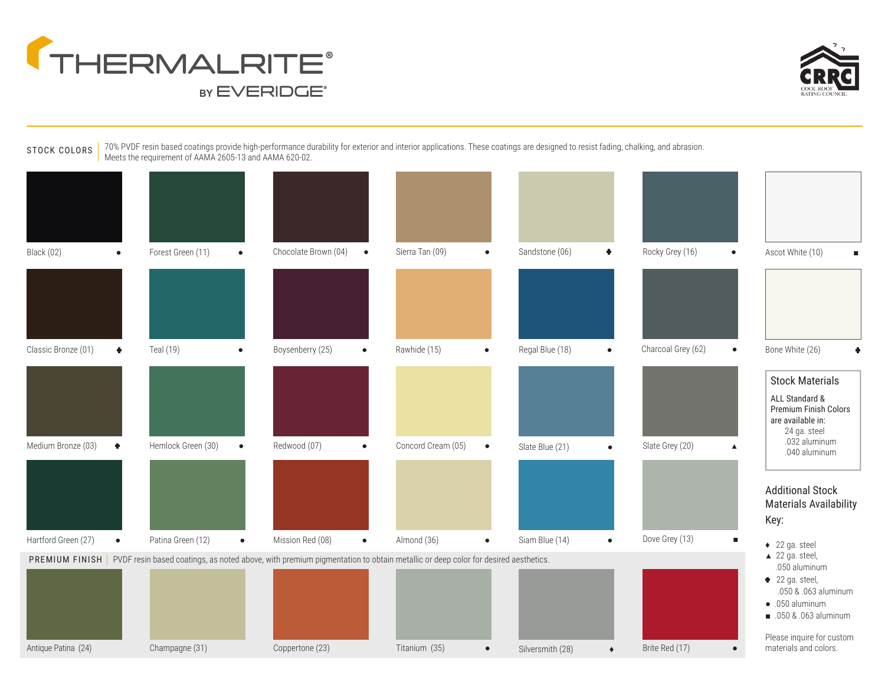



STOCK COLORS 70% PVDF resin based coatings provide high-performance durability for exterior and interior applications. These coatings are designed to resist fading, chalking, and abrasion. Meets the requirement of AAMA 2605-13 and AAMA 620-02.